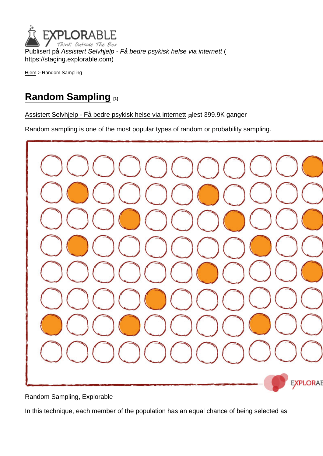Publisert på Assistert Selvhjelp - Få bedre psykisk helse via internett ( <https://staging.explorable.com>)

[Hjem](https://staging.explorable.com/) > Random Sampling

## [Random Sampling](https://staging.explorable.com/node/539) [1]

[Assistert Selvhjelp - Få bedre psykisk helse via internett](https://staging.explorable.com/en) [2]lest 399.9K ganger

Random sampling is one of the most popular types of random or probability sampling.

Random Sampling, Explorable

In this technique, each member of the population has an equal chance of being selected as